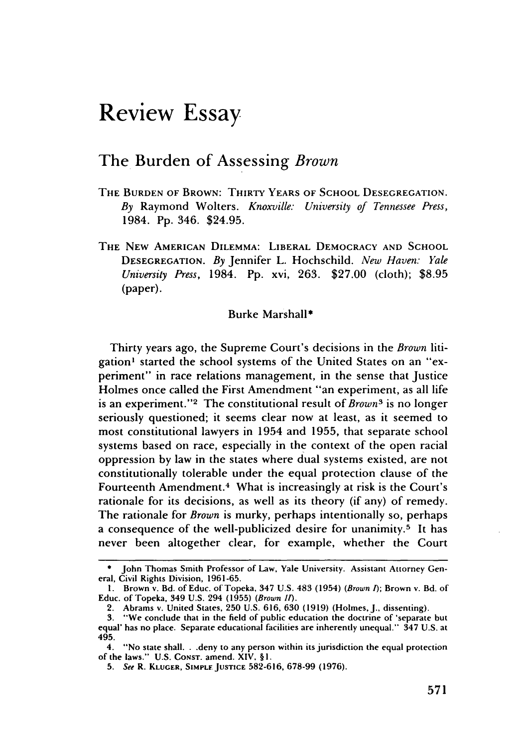# Review Essay

## The Burden of Assessing *Brown*

- **THE** BURDEN **OF BROWN:** THIRTY **YEARS OF SCHOOL DESEGREGATION.** *By* Raymond Wolters. *Knoxville. University of Tennessee Press,* 1984. Pp. 346. \$24.95.
- **THE NEW** AMERICAN **DILEMMA: LIBERAL DEMOCRACY AND SCHOOL DESEGREGATION.** *By* Jennifer L. Hochschild. *New Haven: Yale University Press,* 1984. **Pp.** xvi, 263. \$27.00 (cloth); \$8.95 (paper).

#### Burke Marshall\*

Thirty years ago, the Supreme Court's decisions in the *Brown* litigation' started the school systems of the United States on an "experiment" in race relations management, in the sense that Justice Holmes once called the First Amendment "an experiment, as all life is an experiment."<sup>2</sup> The constitutional result of *Brown*<sup>3</sup> is no longer seriously questioned; it seems clear now at least, as it seemed to most constitutional lawyers in 1954 and 1955, that separate school systems based on race, especially in the context of the open racial oppression by law in the states where dual systems existed, are not constitutionally tolerable under the equal protection clause of the Fourteenth Amendment.<sup>4</sup> What is increasingly at risk is the Court's rationale for its decisions, as well as its theory (if any) of remedy. The rationale for *Brown* is murky, perhaps intentionally so, perhaps a consequence of the well-publicized desire for unanimity.<sup>5</sup> It has never been altogether clear, for example, whether the Court

**<sup>\*</sup>** John Thomas Smith Professor of Law, Yale University. Assistant Attorney General, Civil Rights Division, 1961-65.

**<sup>1.</sup>** Brown v. Bd. of Educ. of Topeka, 347 U.S. 483 (1954) *(Brown 1);* Brown v. Bd. of Educ. of Topeka, 349 U.S. 294 (1955) *(Brown I).*

<sup>2.</sup> Abrams v. United States, 250 U.S. 616, 630 (1919) (Holmes, **J.,** dissenting).

<sup>3. &</sup>quot;We conclude that in the field of public education the doctrine of 'separate but equal' has no place. Separate educational facilities are inherently unequal." 347 U.S. at 495.

<sup>4. &</sup>quot;No state shall...deny to any person within its jurisdiction the equal protection of the laws." U.S. **CONsT.** amend. XIV, § **1.**

<sup>5.</sup> See R. **KLUGER,** SIMPLE **JUSTICE** 582-616, 678-99 (1976).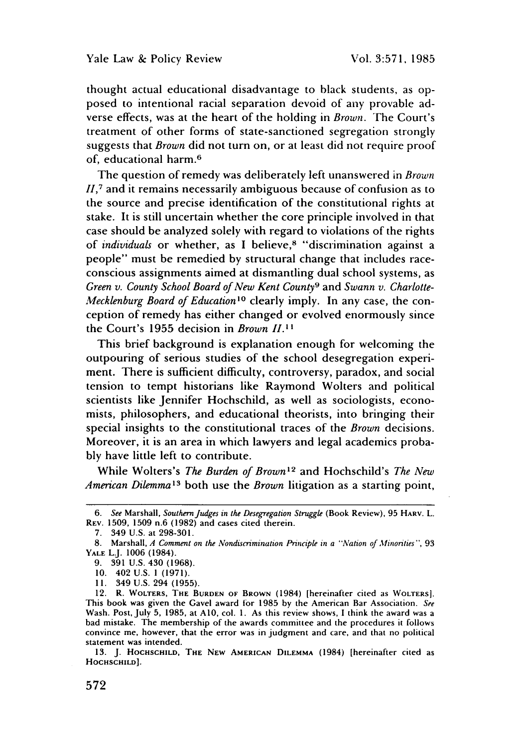thought actual educational disadvantage to black students, as opposed to intentional racial separation devoid of any provable adverse effects, was at the heart of the holding in *Brown.* The Court's treatment of other forms of state-sanctioned segregation strongly suggests that *Brown* did not turn on, or at least did not require proof of, educational harm. <sup>6</sup>

The question of remedy was deliberately left unanswered in *Brown II*,<sup>7</sup> and it remains necessarily ambiguous because of confusion as to the source and precise identification of the constitutional rights at stake. It is still uncertain whether the core principle involved in that case should be analyzed solely with regard to violations of the rights of *individuals* or whether, as I believe,8 "discrimination against a people" must be remedied by structural change that includes raceconscious assignments aimed at dismantling dual school systems, as *Green v. County School Board of New Kent County9* and *Swann v. Charlotte-Mecklenburg Board of Education'0* clearly imply. In any case, the conception of remedy has either changed or evolved enormously since the Court's 1955 decision in *Brown II.I*

This brief background is explanation enough for welcoming the outpouring of serious studies of the school desegregation experiment. There is sufficient difficulty, controversy, paradox, and social tension to tempt historians like Raymond Wolters and political scientists like Jennifer Hochschild, as well as sociologists, economists, philosophers, and educational theorists, into bringing their special insights to the constitutional traces of the *Brown* decisions. Moreover, it is an area in which lawyers and legal academics probably have little left to contribute.

While Wolters's *The Burden of Brown12* and Hochschild's *The New American Dilemma<sup>13</sup>*both use the *Brown* litigation as a starting point,

*<sup>6.</sup> See* Marshall, *Southern Judges in the Desegregation Struggle* (Book Review), 95 HARV. L. REV. 1509, 1509 n.6 (1982) and cases cited therein.

<sup>7. 349</sup> U.S. at 298-301.

<sup>8.</sup> Marshall, *A Comment on the Nondiscrimination Principle in a "Nation of Minorities",* 93 YALE L.J. 1006 (1984).

<sup>9. 391</sup> U.S. 430 (1968).

<sup>10. 402</sup> U.S. 1 (1971).

<sup>11. 349</sup> U.S. 294 (1955).

<sup>12.</sup> R. WOLTERS, **THE BURDEN OF BROWN** (1984) [hereinafter cited as **WOLTERS].** This book was given the Gavel award tor 1985 by the American Bar Association. *See* Wash. Post, July **5,** 1985, at Al0, col. 1. As this review shows, I think the award was a bad mistake. The membership of the awards committee and the procedures it follows convince me, however, that the error was in judgment and care, and that no political statement was intended.

<sup>13.</sup> J. **HOCHSCHILD, THE NEW AMERICAN DILEMMA** (1984) [hereinafter cited as **HOCHSCHILD].**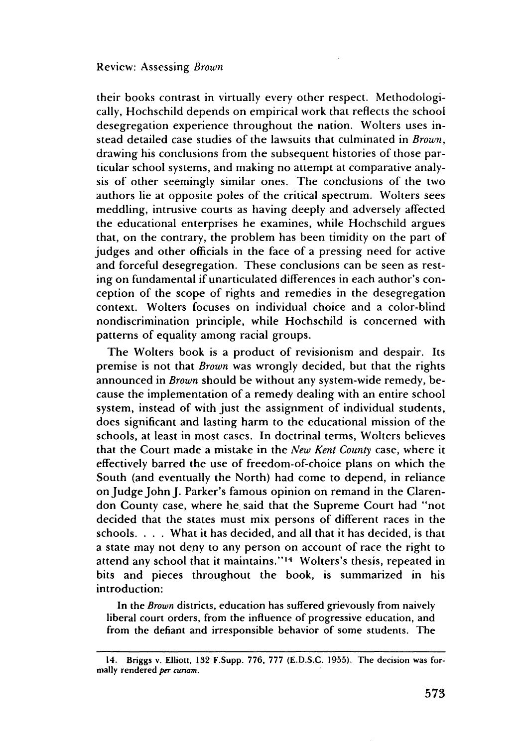their books contrast in virtually every other respect. Methodologically, Hochschild depends on empirical work that reflects the school desegregation experience throughout the nation. Wolters uses instead detailed case studies of the lawsuits that culminated in *Brown,* drawing his conclusions from the subsequent histories of those particular school systems, and making no attempt at comparative analysis of other seemingly similar ones. The conclusions of the two authors lie at opposite poles of the critical spectrum. Wolters sees meddling, intrusive courts as having deeply and adversely affected the educational enterprises he examines, while Hochschild argues that, on the contrary, the problem has been timidity on the part of judges and other officials in the face of a pressing need for active and forceful desegregation. These conclusions can be seen as resting on fundamental if unarticulated differences in each author's conception of the scope of rights and remedies in the desegregation context. Wolters focuses on individual choice and a color-blind nondiscrimination principle, while Hochschild is concerned with patterns of equality among racial groups.

The Wolters book is a product of revisionism and despair. Its premise is not that *Brown* was wrongly decided, but that the rights announced in *Brown* should be without any system-wide remedy, because the implementation of a remedy dealing with an entire school system, instead of with just the assignment of individual students, does significant and lasting harm to the educational mission of the schools, at least in most cases. In doctrinal terms, Wolters believes that the Court made a mistake in the *New Kent County* case, where it effectively barred the use of freedom-of-choice plans on which the South (and eventually the North) had come to depend, in reliance on Judge John J. Parker's famous opinion on remand in the Clarendon County case, where he said that the Supreme Court had "not decided that the states must mix persons of different races in the schools. . . What it has decided, and all that it has decided, is that a state may not deny to any person on account of race the right to attend any school that it maintains."<sup>14</sup> Wolters's thesis, repeated in bits and pieces throughout the book, is summarized in his introduction:

In the *Brown* districts, education has suffered grievously from naively liberal court orders, from the influence of progressive education, and from the defiant and irresponsible behavior of some students. The

<sup>14.</sup> Briggs v. Elliott, 132 F.Supp. 776, 777 (E.D.S.C. 1955). The decision was formally rendered per curiam.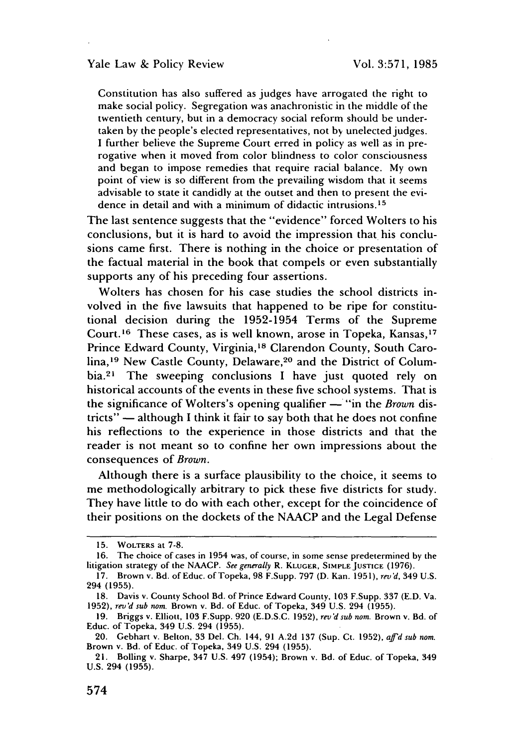Constitution has also suffered as judges have arrogated the right to make social policy. Segregation was anachronistic in the middle of the twentieth century, but in a democracy social reform should be undertaken by the people's elected representatives, not by unelected judges. I further believe the Supreme Court erred in policy as well as in prerogative when it moved from color blindness to color consciousness and began to impose remedies that require racial balance. My own point of view is so different from the prevailing wisdom that it seems advisable to state it candidly at the outset and then to present the evidence in detail and with a minimum of didactic intrusions.<sup>15</sup>

The last sentence suggests that the "evidence" forced Wolters to his conclusions, but it is hard to avoid the impression that his conclusions came first. There is nothing in the choice or presentation of the factual material in the book that compels or even substantially supports any of his preceding four assertions.

Wolters has chosen for his case studies the school districts involved in the five lawsuits that happened to be ripe for constitutional decision during the 1952-1954 Terms of the Supreme Court. 16 These cases, as is well known, arose in Topeka, Kansas, <sup>17</sup> Prince Edward County, Virginia,<sup>18</sup> Clarendon County, South Carolina,<sup>19</sup> New Castle County, Delaware,<sup>20</sup> and the District of Columbia.<sup>21</sup> The sweeping conclusions I have just quoted rely on historical accounts of the events in these five school systems. That is the significance of Wolters's opening qualifier - "in the *Brown* districts" — although I think it fair to say both that he does not confine his reflections to the experience in those districts and that the reader is not meant so to confine her own impressions about the consequences of *Brown.*

Although there is a surface plausibility to the choice, it seems to me methodologically arbitrary to pick these five districts for study. They have little to do with each other, except for the coincidence of their positions on the dockets of the NAACP and the Legal Defense

**<sup>15.</sup>** WOLTERS at **7-8.**

**<sup>16.</sup>** The choice of cases in 1954 was, of course, in some sense predetermined by the litigation strategy of the NAACP. *See generally* R. KLuGER, **SIMPLE JUSTICE** (1976).

<sup>17.</sup> Brown v. Bd. of Educ. of Topeka, **98** F.Supp. **797** (D. Kan. 1951), *rev'd,* 349 U.S. 294 **(1955).**

<sup>18.</sup> Davis v. County School Bd. of Prince Edward County, 103 F.Supp. 337 (E.D. Va. 1952), *rev'd sub nom.* Brown v. Bd. of Educ. of Topeka, 349 U.S. 294 (1955).

<sup>19.</sup> Briggs v. Elliott, 103 F.Supp. 920 (E.D.S.C. 1952), *rev d sub nom.* Brown v. Bd. of Educ. of Topeka, 349 U.S. 294 (1955).

<sup>20.</sup> Gebhart v. Belton, 33 Del. Ch. 144, 91 A.2d 137 (Sup. Ct. 1952), *aff'd sub nom.* Brown v. Bd. of Educ. of Topeka, 349 U.S. 294 (1955).

<sup>21.</sup> Boiling v. Sharpe, 347 U.S. 497 (1954); Brown v. Bd. of Educ. of Topeka, 349 U.S. 294 (1955).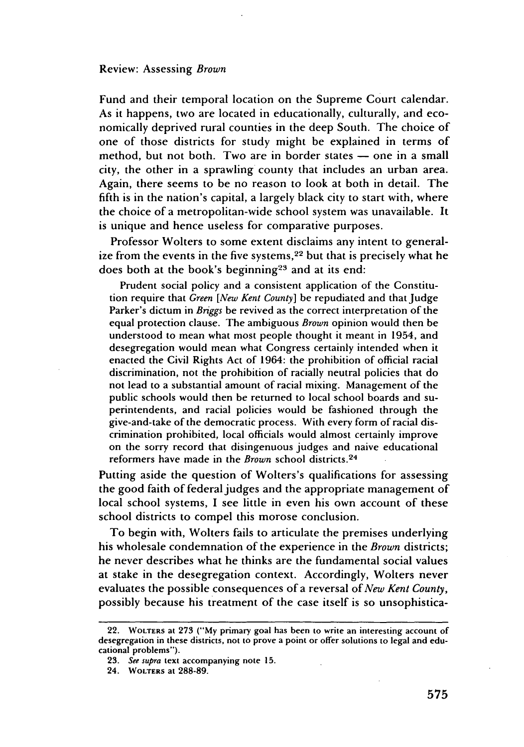Fund and their temporal location on the Supreme Court calendar. As it happens, two are located in educationally, culturally, and economically deprived rural counties in the deep South. The choice of one of those districts for study might be explained in terms of method, but not both. Two are in border states  $-$  one in a small city, the other in a sprawling county that includes an urban area. Again, there seems to be no reason to look at both in detail. The fifth is in the nation's capital, a largely black city to start with, where the choice of a metropolitan-wide school system was unavailable. It is unique and hence useless for comparative purposes.

Professor Wolters to some extent disclaims any intent to generalize from the events in the five systems, 22 but that is precisely what he does both at the book's beginning<sup>23</sup> and at its end:

Prudent social policy and a consistent application of the Constitution require that *Green [New Kent County]* be repudiated and that Judge Parker's dictum in *Briggs* be revived as the correct interpretation of the equal protection clause. The ambiguous *Brown* opinion would then be understood to mean what most people thought it meant in 1954, and desegregation would mean what Congress certainly intended when it enacted the Civil Rights Act of 1964: the prohibition of official racial discrimination, not the prohibition of racially neutral policies that do not lead to a substantial amount of racial mixing. Management of the public schools would then be returned to local school boards and superintendents, and racial policies would be fashioned through the give-and-take of the democratic process. With every form of racial discrimination prohibited, local officials would almost certainly improve on the sorry record that disingenuous judges and naive educational reformers have made in the *Brown* school districts.2 <sup>4</sup>

Putting aside the question of Wolters's qualifications for assessing the good faith of federal judges and the appropriate management of local school systems, I see little in even his own account of these school districts to compel this morose conclusion.

To begin with, Wolters fails to articulate the premises underlying his wholesale condemnation of the experience in the *Brown* districts; he never describes what he thinks are the fundamental social values at stake in the desegregation context. Accordingly, Wolters never evaluates the possible consequences of a reversal of *New Kent County,* possibly because his treatment of the case itself is so unsophistica-

<sup>22.</sup> WOLTERS at **273 ("My** primary goal has been to write an interesting account of desegregation in these districts, not to prove a point or offer solutions to legal and educational problems").

**<sup>23.</sup>** *See supra* text accompanying note **15.**

<sup>24.</sup> WOLTERS **at** 288-89.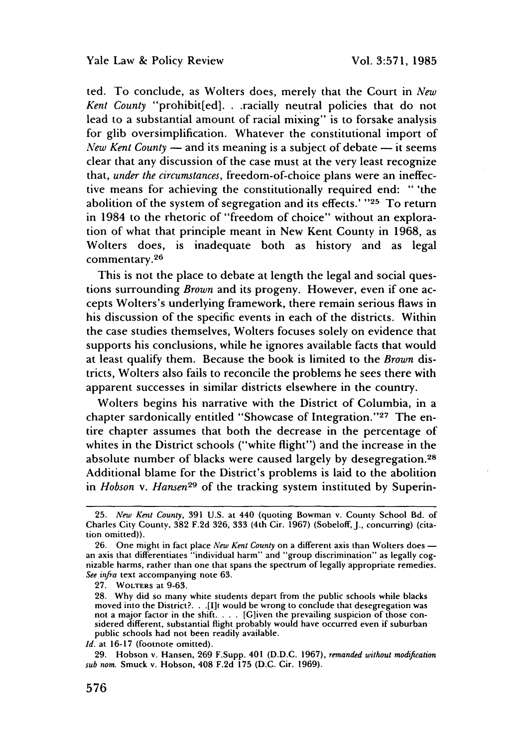ted. To conclude, as Wolters does, merely that the Court in *New Kent County* "prohibit[ed]. **.** .racially neutral policies that do not lead to a substantial amount of racial mixing" is to forsake analysis for glib oversimplification. Whatever the constitutional import of *New Kent County* — and its meaning is a subject of debate — it seems clear that any discussion of the case must at the very least recognize that, *under the circumstances,* freedom-of-choice plans were an ineffective means for achieving the constitutionally required end: " 'the abolition of the system of segregation and its effects.' "<sup>25</sup> To return in 1984 to the rhetoric of "freedom of choice" without an exploration of what that principle meant in New Kent County in 1968, as Wolters does, is inadequate both as history and as legal commentary.<sup>26</sup>

This is not the place to debate at length the legal and social questions surrounding *Brown* and its progeny. However, even if one accepts Wolters's underlying framework, there remain serious flaws in his discussion of the specific events in each of the districts. Within the case studies themselves, Wolters focuses solely on evidence that supports his conclusions, while he ignores available facts that would at least qualify them. Because the book is limited to the *Brown* districts, Wolters also fails to reconcile the problems he sees there with apparent successes in similar districts elsewhere in the country.

Wolters begins his narrative with the District of Columbia, in a chapter sardonically entitled "Showcase of Integration."<sup>27</sup> The entire chapter assumes that both the decrease in the percentage of whites in the District schools ("white flight") and the increase in the absolute number of blacks were caused largely by desegregation.28 Additional blame for the District's problems is laid to the abolition in *Hobson* v. *Hansen29* of the tracking system instituted by Superin-

*Id.* at 16-17 (footnote omitted).

<sup>25.</sup> *New Kent County,* 391 U.S. at 440 (quoting Bowman v. County School Bd. of Charles City County, 382 F.2d 326, 333 (4th Cir. 1967) (Sobeloff, J., concurring) (citation omitted)).

<sup>26.</sup> One might in fact place *New Kent County* on a different axis than Wolters does an axis that differentiates "individual harm" and "group discrimination" as legally cognizable harms, rather than one that spans the spectrum of legally appropriate remedies. *See infra* text accompanying note 63.

<sup>27.</sup> WOLTERS at 9-63.

<sup>28.</sup> Why did so many white students depart from the public schools while blacks moved into the District?. **.** [Ilt would be wrong to conclude that desegregation was not a major factor in the shift. . **.** . [G]iven the prevailing suspicion of those considered different, substantial flight probably would have occurred even if suburban public schools had not been readily available.

<sup>29.</sup> Hobson v. Hansen, 269 F.Supp. 401 (D.D.C. 1967), *remanded without modification sub nom.* Smuck v. Hobson, 408 F.2d 175 (D.C. Cir. 1969).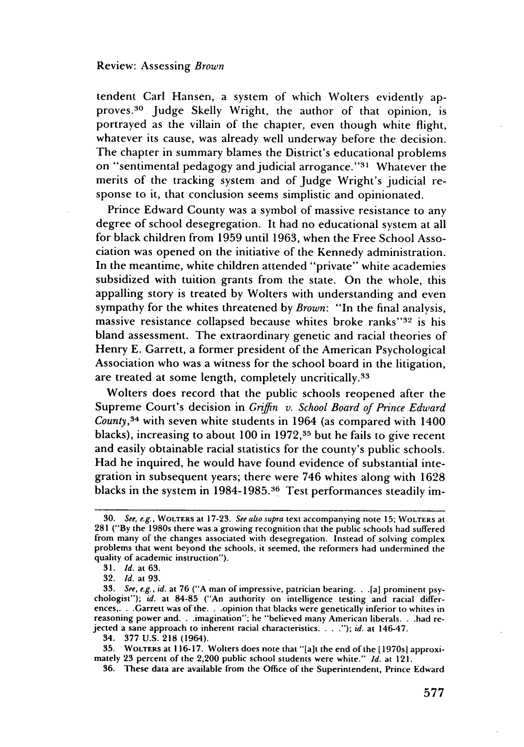tendent Carl Hansen, a system of which Wolters evidently approves.<sup>30</sup> Judge Skelly Wright, the author of that opinion, is portrayed as the villain of the chapter, even though white flight, whatever its cause, was already well underway before the decision. The chapter in summary blames the District's educational problems on "sentimental pedagogy and judicial arrogance."<sup>31</sup> Whatever the merits of the tracking system and of Judge Wright's judicial response to it, that conclusion seems simplistic and opinionated.

Prince Edward County was a symbol of massive resistance to any degree of school desegregation. It had no educational system at all for black children from 1959 until 1963, when the Free School Association was opened on the initiative of the Kennedy administration. In the meantime, white children attended "private" white academies subsidized with tuition grants from the state. On the whole, this appalling story is treated by Wolters with understanding and even sympathy for the whites threatened by *Brown:* "In the final analysis, massive resistance collapsed because whites broke ranks"<sup>32</sup> is his bland assessment. The extraordinary genetic and racial theories of Henry E. Garrett, a former president of the American Psychological Association who was a witness for the school board in the litigation, are treated at some length, completely uncritically.<sup>33</sup>

Wolters does record that the public schools reopened after the Supreme Court's decision in *Griffin v. School Board of Prince Edward County, <sup>34</sup>*with seven white students in 1964 (as compared with 1400 blacks), increasing to about 100 in 1972, 35 but he fails to give recent and easily obtainable racial statistics for the county's public schools. Had he inquired, he would have found evidence of substantial integration in subsequent years; there were 746 whites along with 1628 blacks in the system in 1984-1985.36 Test performances steadily im-

**<sup>30.</sup>** *See, e.g.,* WOLTERS at **17-23.** *See also supra* text accompanying note 15; WOLTERS **at** 281 ("By the 1980s there was a growing recognition that the public schools had suffered from many of the changes associated with desegregation. Instead of solving complex problems that went beyond the schools, it seemed, the reformers had undermined the quality of academic instruction").

<sup>31.</sup> **Id.** at 63.

<sup>32.</sup> **Id.** at **93.**

<sup>33.</sup> *See, e.g., id.* at 76 ("A man of impressive, patrician bearing... [a] prominent psychologist"); *id.* at **84-85** ("An authority on intelligence testing and racial differences,. . Garrett was of the... opinion that blacks were genetically inferior to whites in reasoning power and. **.** .imagination"; he "believed many American liberals. **.** .had re- jected a sane approach to inherent racial characteristics..); *id.* **at** 146-47.

<sup>34. 377</sup> U.S. 218 (1964).

**<sup>35.</sup>** WOLTERS at **116-17.** Wolters does note that "[a]t the end of the [1970s approximately **23** percent of **the** 2,200 public school students were white." *Id.* **at** 121.

**<sup>36.</sup>** These data are available from the Office of **the** Superintendent, Prince Edward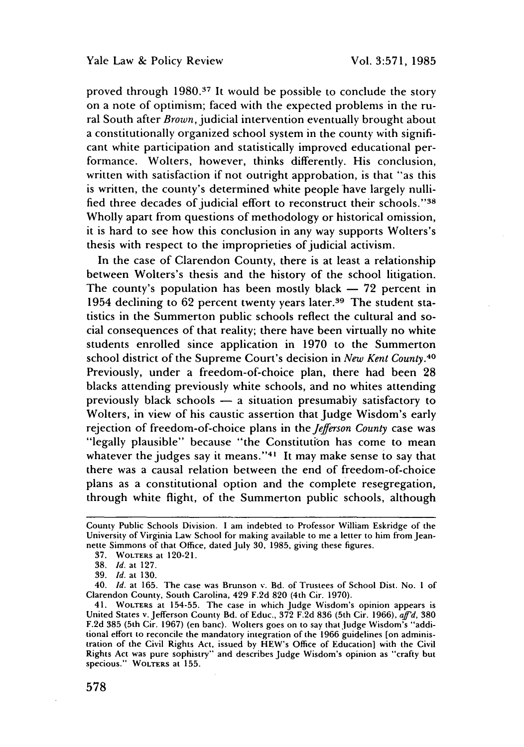proved through 1980.<sup>37</sup> It would be possible to conclude the story on a note of optimism; faced with the expected problems in the rural South after *Brown,* judicial intervention eventually brought about a constitutionally organized school system in the county with significant white participation and statistically improved educational performance. Wolters, however, thinks differently. His conclusion, written with satisfaction if not outright approbation, is that "as this is written, the county's determined white people have largely nullified three decades of judicial effort to reconstruct their schools."38 Wholly apart from questions of methodology or historical omission, it is hard to see how this conclusion in any way supports Wolters's thesis with respect to the improprieties of judicial activism.

In the case of Clarendon County, there is at least a relationship between Wolters's thesis and the history of the school litigation. The county's population has been mostly black  $-72$  percent in 1954 declining to 62 percent twenty years later.<sup>39</sup> The student statistics in the Summerton public schools reflect the cultural and social consequences of that reality; there have been virtually no white students enrolled since application in 1970 to the Summerton school district of the Supreme Court's decision in *New Kent County.<sup>40</sup>* Previously, under a freedom-of-choice plan, there had been 28 blacks attending previously white schools, and no whites attending previously black schools **-** a situation presumabiy satisfactory to Wolters, in view of his caustic assertion that Judge Wisdom's early rejection of freedom-of-choice plans in *the Jefferson County* case was "legally plausible" because "the Constitution has come to mean whatever the judges say it means."<sup>41</sup> It may make sense to say that there was a causal relation between the end of freedom-of-choice plans as a constitutional option and the complete resegregation, through white flight, of the Summerton public schools, although

County Public Schools Division. I am indebted to Professor William Eskridge of the University of Virginia Law School for making available to me a letter to him from Jeannette Simmons of that Office, dated July 30, 1985, giving these figures.

<sup>37.</sup> **WOLTERS** at 120-21.

<sup>38.</sup> *Id.* at 127.

<sup>39.</sup> *Id.* at 130.

<sup>40.</sup> *Id.* at 165. The case was Brunson v. Bd. of Trustees of School Dist. No. **I** of Clarendon County, South Carolina, 429 F.2d 820 (4th Cir. 1970).

<sup>41.</sup> WOLTERS at 154-55. The case in which Judge Wisdom's opinion appears is United States v. Jefferson County Bd. of Educ., 372 F.2d 836 (5th Cir. 1966), *afd,* <sup>380</sup> F.2d 385 (5th Cir. 1967) (en banc). Wolters goes on to say that fudge Wisdom's "additional effort to reconcile the mandatory integration of the 1966 guidelines [on administration of the Civil Rights Act, issued by HEW's Office of Education] with the Civil Rights Act was pure sophistry" and describes Judge Wisdom's opinion as "crafty but specious." WOLTERS at 155.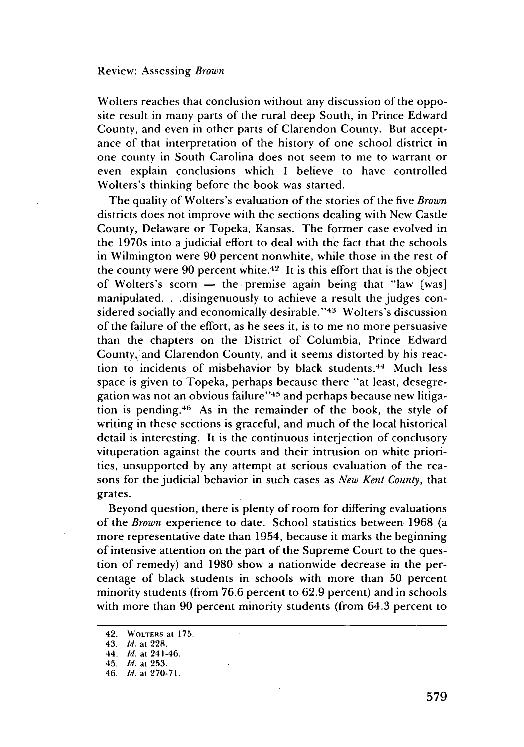Wolters reaches that conclusion without any discussion of the opposite result in many parts of the rural deep South, in Prince Edward County, and even in other parts of Clarendon County. But acceptance of that interpretation of the history of one school district in one county in South Carolina does not seem to me to warrant or even explain conclusions which I believe to have controlled Wolters's thinking before the book was started.

The quality of Wolters's evaluation of the stories of the five *Brown* districts does not improve with the sections dealing with New Castle County, Delaware or Topeka, Kansas. The former case evolved in the 1970s into a judicial effort to deal with the fact that the schools in Wilmington were 90 percent nonwhite, while those in the rest of the county were 90 percent white.42 It is this effort that is the object of Wolters's scorn — the premise again being that "law [was] manipulated. **.** .disingenuously to achieve a result the judges considered socially and economically desirable."<sup>43</sup> Wolters's discussion of the failure of the effort, as he sees it, is to me no more persuasive than the chapters on the District of Columbia, Prince Edward County, and Clarendon County, and it seems distorted by his reaction to incidents of misbehavior by black students.44 Much less space is given to Topeka, perhaps because there "at least, desegregation was not an obvious failure" 45 and perhaps because new litigation is pending.46 As in the remainder of the book, the style of writing in these sections is graceful, and much of the local historical detail is interesting. It is the continuous interjection of conclusory vituperation against the courts and their intrusion on white priorities, unsupported by any attempt at serious evaluation of the reasons for the judicial behavior in such cases as *New Kent County,* that grates.

Beyond question, there is plenty of room for differing evaluations of the *Brown* experience to date. School statistics between- 1968 (a more representative date than 1954, because it marks the beginning of intensive attention on the part of the Supreme Court to the question of remedy) and 1980 show a nationwide decrease in the percentage of black students in schools with more than 50 percent minority students (from 76.6 percent to 62.9 percent) and in schools with more than 90 percent minority students (from 64.3 percent to

579

<sup>42.</sup> **WOLTERS** at **175.**

<sup>43.</sup> *Id.* at 228.

<sup>44.</sup> *Id.* at 241-46.

<sup>45.</sup> *Id.* at 253.

<sup>46.</sup> *Id.* at 270-71.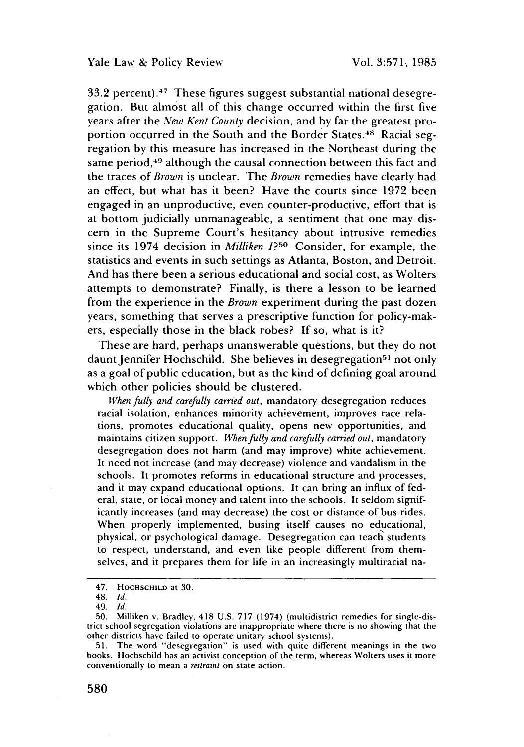$33.2$  percent).<sup>47</sup> These figures suggest substantial national desegregation. But almost all of this change occurred within the first five years after the *New Kent County* decision, and by far the greatest proportion occurred in the South and the Border States.<sup>48</sup> Racial segregation by this measure has increased in the Northeast during the same period,<sup>49</sup> although the causal connection between this fact and the traces of *Brown* is unclear. The *Brown* remedies have clearly had an effect, but what has it been? Have the courts since 1972 been engaged in an unproductive, even counter-productive, effort that is at bottom judicially unmanageable, a sentiment that one may discern in the Supreme Court's hesitancy about intrusive remedies since its 1974 decision in *Milliken 1*?<sup>50</sup> Consider, for example, the statistics and events in such settings as Atlanta, Boston, and Detroit. And has there been a serious educational and social cost, as Wolters attempts to demonstrate? Finally, is there a lesson to be learned from the experience in the *Brown* experiment during the past dozen years, something that serves a prescriptive function for policy-makers, especially those in the black robes? If so, what is it?

These are hard, perhaps unanswerable questions, but they do not daunt Jennifer Hochschild. She believes in desegregation<sup>51</sup> not only as a goal of public education, but as the kind of defining goal around which other policies should be clustered.

*When fully and carefully carried out,* mandatory desegregation reduces racial isolation, enhances minority achievement, improves race relations, promotes educational quality, opens new opportunities, and maintains citizen support. *When fully and carefully carried out,* mandatory desegregation does not harm (and may improve) white achievement. It need not increase (and may decrease) violence and vandalism in the schools. It promotes reforms in educational structure and processes, and it may expand educational options. It can bring an influx of federal, state, or local money and talent into the schools. It seldom significantly increases (and may decrease) the cost or distance of bus rides. When properly implemented, busing itself causes no educational, physical, or psychological damage. Desegregation can teach students to respect, understand, and even like people different from themselves, and it prepares them for life in an increasingly multiracial na-

<sup>47.</sup> HOCHSCHILD at 30.

<sup>48.</sup> *Id.*

<sup>49.</sup> *Id.*

<sup>50.</sup> Milliken v. Bradley, 418 U.S. 717 (1974) (multidistrict remedies for single-district school segregation violations are inappropriate where there is no showing that the other districts have failed to operate unitary school systems).

<sup>51.</sup> The word "desegregation" is used with quite different meanings in the two books. Hochschild has an activist conception of the term, whereas Wolters uses it more conventionally to mean a *restraint* on state action.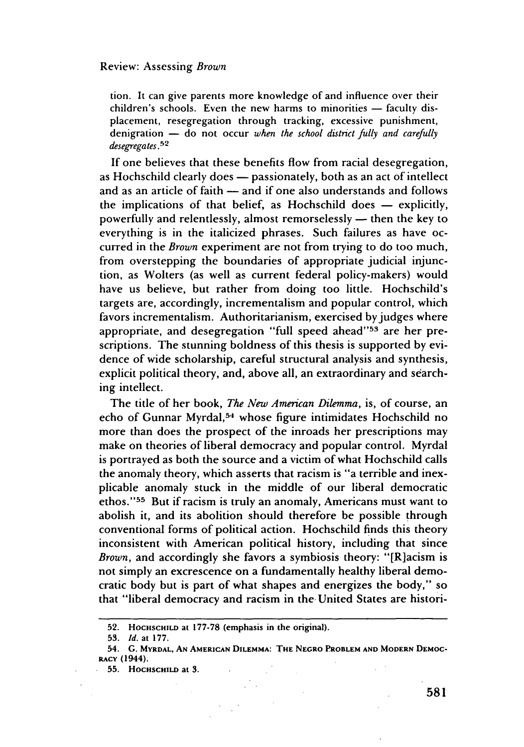tion. It can give parents more knowledge of and influence over their  $children's schools.$  Even the new harms to minorities  $-$  faculty displacement, resegregation through tracking, excessive punishment, denigration - do not occur when the school district fully and carefully *desegregates.5 <sup>2</sup>*

If one believes that these benefits flow from racial desegregation, as Hochschild clearly does **-** passionately, both as an act of intellect and as an article of faith - and if one also understands and follows the implications of that belief, as Hochschild does **-** explicitly, powerfully and relentlessly, almost remorselessly **-** then the key to everything is in the italicized phrases. Such failures as have occurred in the *Brown* experiment are not from trying to do too much, from overstepping the boundaries of appropriate judicial injunction, as Wolters (as well as current federal policy-makers) would have us believe, but rather from doing too little. Hochschild's targets are, accordingly, incrementalism and popular control, which favors incrementalism. Authoritarianism, exercised by judges where appropriate, and desegregation "full speed ahead"<sup>53</sup> are her prescriptions. The stunning boldness of this thesis is supported by evidence of wide scholarship, careful structural analysis and synthesis, explicit political theory, and, above all, an extraordinary and searching intellect.

The title of her book, *The New American Dilemma,* is, of course, an echo of Gunnar Myrdal, 54 whose figure intimidates Hochschild no more than does the prospect of the inroads her prescriptions may make on theories of liberal democracy and popular control. Myrdal is portrayed as both the source and a victim of what Hochschild calls the anomaly theory, which asserts that racism is "a terrible and inexplicable anomaly stuck in the middle of our liberal democratic ethos." 55 But if racism is truly an anomaly, Americans must want to abolish it, and its abolition should therefore be possible through conventional forms of political action. Hochschild finds this theory inconsistent with American political history, including that since *Brown,* and accordingly she favors a symbiosis theory: "[R]acism is not simply an excrescence on a fundamentally healthy liberal democratic body but is part of what shapes and energizes the body," so that "liberal democracy and racism in the United States are histori-

**55. HOCHSCILD** at **3.**

<sup>52.</sup> **HOCHSCHILD at** 177-78 (emphasis **in the** original).

<sup>53.</sup> *Id.* at 177.

**<sup>54.</sup> G. MYRDAL, AN AMERICAN DILEMMA: THE NEGRO PROBLEM AND MODERN DEMOC-Rcv** (1944).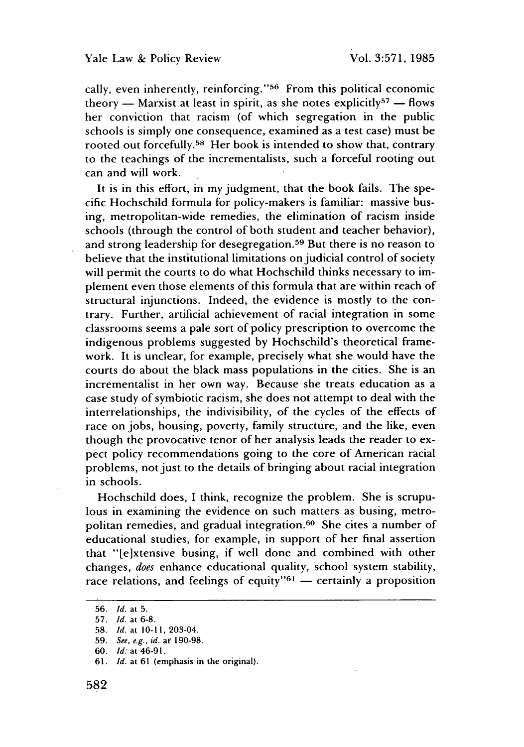cally, even inherently, reinforcing." 56 From this political economic theory — Marxist at least in spirit, as she notes explicitly<sup>57</sup> — flows her conviction that racism (of which segregation in the public schools is simply one consequence, examined as a test case) must be rooted out forcefully. 58 Her book is intended to show that, contrary to the teachings of the incrementalists, such a forceful rooting out can and will work.

It is in this effort, in my judgment, that the book fails. The specific Hochschild formula for policy-makers is familiar: massive busing, metropolitan-wide remedies, the elimination of racism inside schools (through the control of both student and teacher behavior), and strong leadership for desegregation. 59 But there is no reason to believe that the institutional limitations on judicial control of society will permit the courts to do what Hochschild thinks necessary to implement even those elements of this formula that are within reach of structural injunctions. Indeed, the evidence is mostly to the contrary. Further, artificial achievement of racial integration in some classrooms seems a pale sort of policy prescription to overcome the indigenous problems suggested by Hochschild's theoretical framework. It is unclear, for example, precisely what she would have the courts do about the black mass populations in the cities. She is an incrementalist in her own way. Because she treats education as a case study of symbiotic racism, she does not attempt to deal with the interrelationships, the indivisibility, of the cycles of the effects of race on jobs, housing, poverty, family structure, and the like, even though the provocative tenor of her analysis leads the reader to expect policy recommendations going to the core of American racial problems, not just to the details of bringing about racial integration in schools.

Hochschild does, I think, recognize the problem. She is scrupulous in examining the evidence on such matters as busing, metropolitan remedies, and gradual integration. 60 She cites a number of educational studies, for example, in support of her final assertion that "[e]xtensive busing, if well done and combined with other changes, does enhance educational quality, school system stability, race relations, and feelings of equity<sup> $36$ </sup> - certainly a proposition

<sup>56.</sup> *Id.* at 5.

<sup>57.</sup> *Id.* at 6-8.

<sup>58.</sup> Id. at 10-11, 203-04.

**<sup>59.</sup>** *See, e.g., id. at'* **190-98.**

<sup>60.</sup> **Id:** at 46-91.

**<sup>61.</sup>** *Id.* at 61 (emphasis in the original).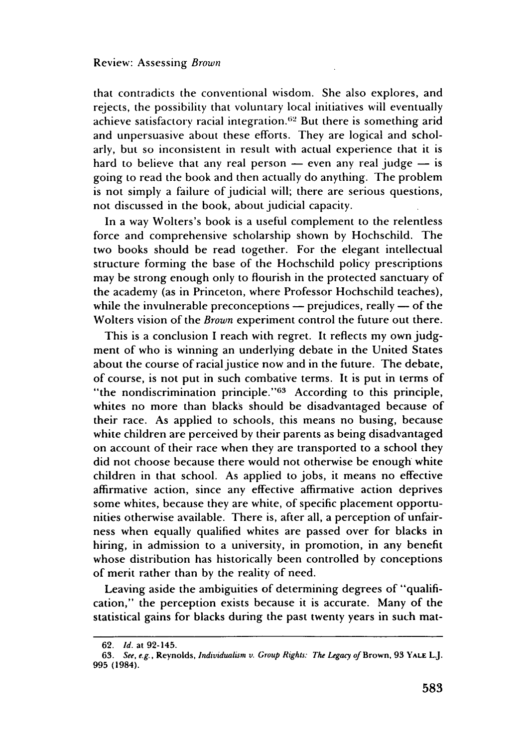that contradicts the conventional wisdom. She also explores, and rejects, the possibility that voluntary local initiatives will eventually achieve satisfactory racial integration. 62 But there is something arid and unpersuasive about these efforts. They are logical and scholarly, but so inconsistent in result with actual experience that it is hard to believe that any real person  $-$  even any real judge  $-$  is going to read the book and then actually do anything. The problem is not simply a failure of judicial will; there are serious questions, not discussed in the book, about judicial capacity.

In a way Wolters's book is a useful complement to the relentless force and comprehensive scholarship shown by Hochschild. The two books should be read together. For the elegant intellectual structure forming the base of the Hochschild policy prescriptions may be strong enough only to flourish in the protected sanctuary of the academy (as in Princeton, where Professor Hochschild teaches), while the invulnerable preconceptions  $-$  prejudices, really  $-$  of the Wolters vision of the *Brown* experiment control the future out there.

This is a conclusion I reach with regret. It reflects my own judgment of who is winning an underlying debate in the United States about the course of racial justice now and in the future. The debate, of course, is not put in such combative terms. It is put in terms of "the nondiscrimination principle." 63 According to this principle, whites no more than blacks should be disadvantaged because of their race. As applied to schools, this means no busing, because white children are perceived by their parents as being disadvantaged on account of their race when they are transported to a school they did not choose because there would not otherwise be enough white children in that school. As applied to jobs, it means no effective affirmative action, since any effective affirmative action deprives some whites, because they are white, of specific placement opportunities otherwise available. There is, after all, a perception of unfairness when equally qualified whites are passed over for blacks in hiring, in admission to a university, in promotion, in any benefit whose distribution has historically been controlled by conceptions of merit rather than by the reality of need.

Leaving aside the ambiguities of determining degrees of "qualification," the perception exists because it is accurate. Many of the statistical gains for blacks during the past twenty years in such mat-

<sup>62.</sup> *Id.* at 92-145.

<sup>63.</sup> *See, e.g.,* Reynolds, *Individualism v. Group Rights: The Legacy of* Brown, 93 YALE L.J. 995 (1984).